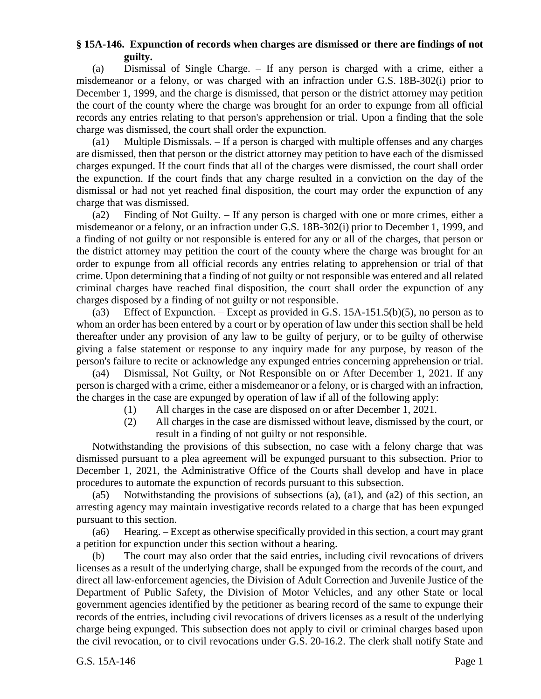## **§ 15A-146. Expunction of records when charges are dismissed or there are findings of not guilty.**

(a) Dismissal of Single Charge. – If any person is charged with a crime, either a misdemeanor or a felony, or was charged with an infraction under G.S. 18B-302(i) prior to December 1, 1999, and the charge is dismissed, that person or the district attorney may petition the court of the county where the charge was brought for an order to expunge from all official records any entries relating to that person's apprehension or trial. Upon a finding that the sole charge was dismissed, the court shall order the expunction.

(a1) Multiple Dismissals. – If a person is charged with multiple offenses and any charges are dismissed, then that person or the district attorney may petition to have each of the dismissed charges expunged. If the court finds that all of the charges were dismissed, the court shall order the expunction. If the court finds that any charge resulted in a conviction on the day of the dismissal or had not yet reached final disposition, the court may order the expunction of any charge that was dismissed.

(a2) Finding of Not Guilty. – If any person is charged with one or more crimes, either a misdemeanor or a felony, or an infraction under G.S. 18B-302(i) prior to December 1, 1999, and a finding of not guilty or not responsible is entered for any or all of the charges, that person or the district attorney may petition the court of the county where the charge was brought for an order to expunge from all official records any entries relating to apprehension or trial of that crime. Upon determining that a finding of not guilty or not responsible was entered and all related criminal charges have reached final disposition, the court shall order the expunction of any charges disposed by a finding of not guilty or not responsible.

(a3) Effect of Expunction. – Except as provided in G.S. 15A-151.5(b)(5), no person as to whom an order has been entered by a court or by operation of law under this section shall be held thereafter under any provision of any law to be guilty of perjury, or to be guilty of otherwise giving a false statement or response to any inquiry made for any purpose, by reason of the person's failure to recite or acknowledge any expunged entries concerning apprehension or trial.

(a4) Dismissal, Not Guilty, or Not Responsible on or After December 1, 2021. If any person is charged with a crime, either a misdemeanor or a felony, or is charged with an infraction, the charges in the case are expunged by operation of law if all of the following apply:

- (1) All charges in the case are disposed on or after December 1, 2021.
- (2) All charges in the case are dismissed without leave, dismissed by the court, or result in a finding of not guilty or not responsible.

Notwithstanding the provisions of this subsection, no case with a felony charge that was dismissed pursuant to a plea agreement will be expunged pursuant to this subsection. Prior to December 1, 2021, the Administrative Office of the Courts shall develop and have in place procedures to automate the expunction of records pursuant to this subsection.

(a5) Notwithstanding the provisions of subsections (a), (a1), and (a2) of this section, an arresting agency may maintain investigative records related to a charge that has been expunged pursuant to this section.

(a6) Hearing. – Except as otherwise specifically provided in this section, a court may grant a petition for expunction under this section without a hearing.

(b) The court may also order that the said entries, including civil revocations of drivers licenses as a result of the underlying charge, shall be expunged from the records of the court, and direct all law-enforcement agencies, the Division of Adult Correction and Juvenile Justice of the Department of Public Safety, the Division of Motor Vehicles, and any other State or local government agencies identified by the petitioner as bearing record of the same to expunge their records of the entries, including civil revocations of drivers licenses as a result of the underlying charge being expunged. This subsection does not apply to civil or criminal charges based upon the civil revocation, or to civil revocations under G.S. 20-16.2. The clerk shall notify State and